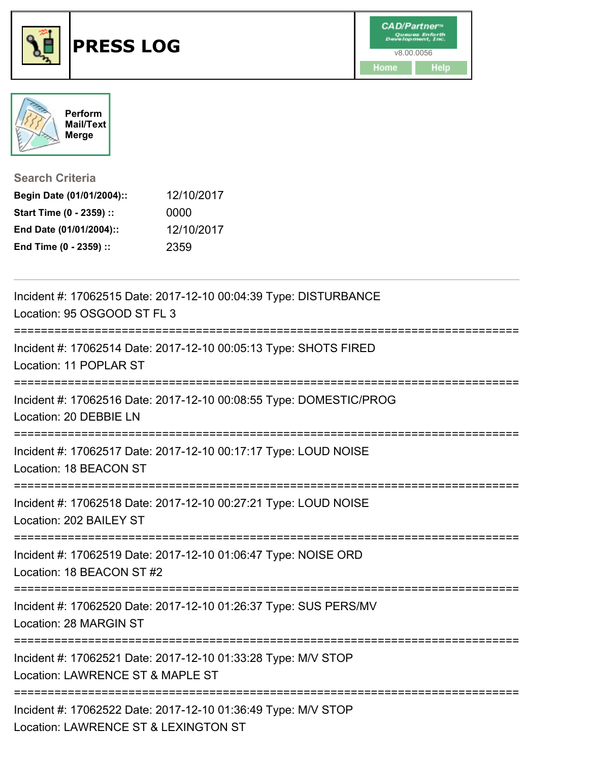



**Search Criteria**

| Begin Date (01/01/2004):: | 12/10/2017 |
|---------------------------|------------|
| Start Time (0 - 2359) ::  | 0000       |
| End Date (01/01/2004)::   | 12/10/2017 |
| End Time (0 - 2359) ::    | 2359       |

| Incident #: 17062515 Date: 2017-12-10 00:04:39 Type: DISTURBANCE<br>Location: 95 OSGOOD ST FL 3                      |
|----------------------------------------------------------------------------------------------------------------------|
| Incident #: 17062514 Date: 2017-12-10 00:05:13 Type: SHOTS FIRED<br>Location: 11 POPLAR ST                           |
| Incident #: 17062516 Date: 2017-12-10 00:08:55 Type: DOMESTIC/PROG<br>Location: 20 DEBBIE LN                         |
| Incident #: 17062517 Date: 2017-12-10 00:17:17 Type: LOUD NOISE<br>Location: 18 BEACON ST                            |
| Incident #: 17062518 Date: 2017-12-10 00:27:21 Type: LOUD NOISE<br>Location: 202 BAILEY ST                           |
| Incident #: 17062519 Date: 2017-12-10 01:06:47 Type: NOISE ORD<br>Location: 18 BEACON ST #2                          |
| Incident #: 17062520 Date: 2017-12-10 01:26:37 Type: SUS PERS/MV<br>Location: 28 MARGIN ST                           |
| Incident #: 17062521 Date: 2017-12-10 01:33:28 Type: M/V STOP<br>Location: LAWRENCE ST & MAPLE ST<br>--------------- |
| Incident #: 17062522 Date: 2017-12-10 01:36:49 Type: M/V STOP<br>Location: LAWRENCE ST & LEXINGTON ST                |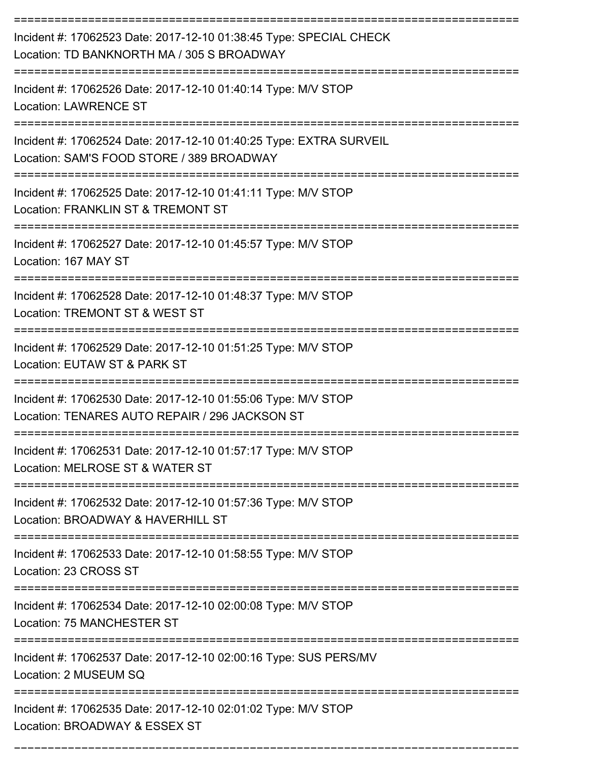| Incident #: 17062523 Date: 2017-12-10 01:38:45 Type: SPECIAL CHECK<br>Location: TD BANKNORTH MA / 305 S BROADWAY<br><u> :=========================</u> |
|--------------------------------------------------------------------------------------------------------------------------------------------------------|
| Incident #: 17062526 Date: 2017-12-10 01:40:14 Type: M/V STOP<br><b>Location: LAWRENCE ST</b>                                                          |
| Incident #: 17062524 Date: 2017-12-10 01:40:25 Type: EXTRA SURVEIL<br>Location: SAM'S FOOD STORE / 389 BROADWAY                                        |
| Incident #: 17062525 Date: 2017-12-10 01:41:11 Type: M/V STOP<br>Location: FRANKLIN ST & TREMONT ST                                                    |
| Incident #: 17062527 Date: 2017-12-10 01:45:57 Type: M/V STOP<br>Location: 167 MAY ST                                                                  |
| Incident #: 17062528 Date: 2017-12-10 01:48:37 Type: M/V STOP<br>Location: TREMONT ST & WEST ST                                                        |
| Incident #: 17062529 Date: 2017-12-10 01:51:25 Type: M/V STOP<br>Location: EUTAW ST & PARK ST                                                          |
| Incident #: 17062530 Date: 2017-12-10 01:55:06 Type: M/V STOP<br>Location: TENARES AUTO REPAIR / 296 JACKSON ST                                        |
| Incident #: 17062531 Date: 2017-12-10 01:57:17 Type: M/V STOP<br>Location: MELROSE ST & WATER ST                                                       |
| Incident #: 17062532 Date: 2017-12-10 01:57:36 Type: M/V STOP<br>Location: BROADWAY & HAVERHILL ST                                                     |
| Incident #: 17062533 Date: 2017-12-10 01:58:55 Type: M/V STOP<br>Location: 23 CROSS ST                                                                 |
| ;==================================<br>Incident #: 17062534 Date: 2017-12-10 02:00:08 Type: M/V STOP<br>Location: 75 MANCHESTER ST                     |
| Incident #: 17062537 Date: 2017-12-10 02:00:16 Type: SUS PERS/MV<br>Location: 2 MUSEUM SQ                                                              |
| Incident #: 17062535 Date: 2017-12-10 02:01:02 Type: M/V STOP<br>Location: BROADWAY & ESSEX ST                                                         |

===========================================================================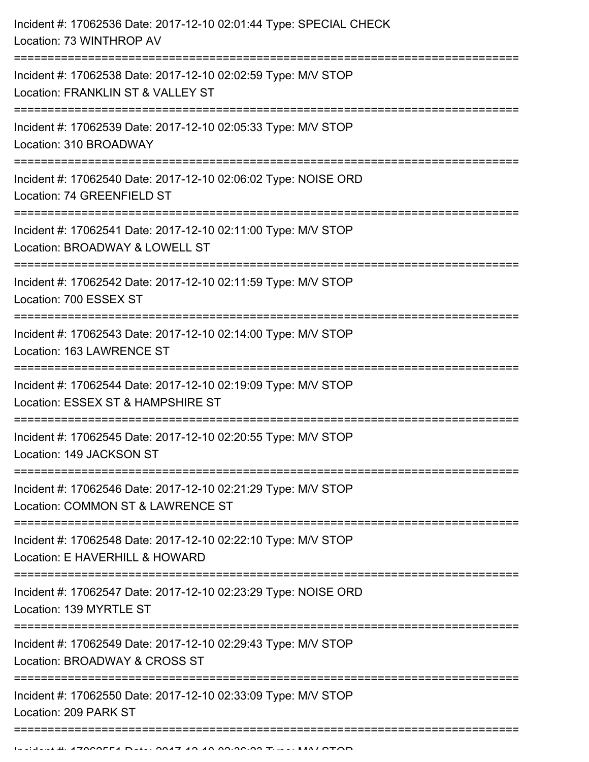| Incident #: 17062536 Date: 2017-12-10 02:01:44 Type: SPECIAL CHECK<br>Location: 73 WINTHROP AV                                   |
|----------------------------------------------------------------------------------------------------------------------------------|
| Incident #: 17062538 Date: 2017-12-10 02:02:59 Type: M/V STOP<br>Location: FRANKLIN ST & VALLEY ST<br>;=======================   |
| Incident #: 17062539 Date: 2017-12-10 02:05:33 Type: M/V STOP<br>Location: 310 BROADWAY                                          |
| Incident #: 17062540 Date: 2017-12-10 02:06:02 Type: NOISE ORD<br>Location: 74 GREENFIELD ST<br>;============================    |
| Incident #: 17062541 Date: 2017-12-10 02:11:00 Type: M/V STOP<br>Location: BROADWAY & LOWELL ST                                  |
| Incident #: 17062542 Date: 2017-12-10 02:11:59 Type: M/V STOP<br>Location: 700 ESSEX ST                                          |
| Incident #: 17062543 Date: 2017-12-10 02:14:00 Type: M/V STOP<br>Location: 163 LAWRENCE ST                                       |
| Incident #: 17062544 Date: 2017-12-10 02:19:09 Type: M/V STOP<br>Location: ESSEX ST & HAMPSHIRE ST<br>========================== |
| Incident #: 17062545 Date: 2017-12-10 02:20:55 Type: M/V STOP<br>Location: 149 JACKSON ST                                        |
| Incident #: 17062546 Date: 2017-12-10 02:21:29 Type: M/V STOP<br>Location: COMMON ST & LAWRENCE ST                               |
| Incident #: 17062548 Date: 2017-12-10 02:22:10 Type: M/V STOP<br>Location: E HAVERHILL & HOWARD                                  |
| Incident #: 17062547 Date: 2017-12-10 02:23:29 Type: NOISE ORD<br>Location: 139 MYRTLE ST                                        |
| Incident #: 17062549 Date: 2017-12-10 02:29:43 Type: M/V STOP<br>Location: BROADWAY & CROSS ST                                   |
| Incident #: 17062550 Date: 2017-12-10 02:33:09 Type: M/V STOP<br>Location: 209 PARK ST                                           |
|                                                                                                                                  |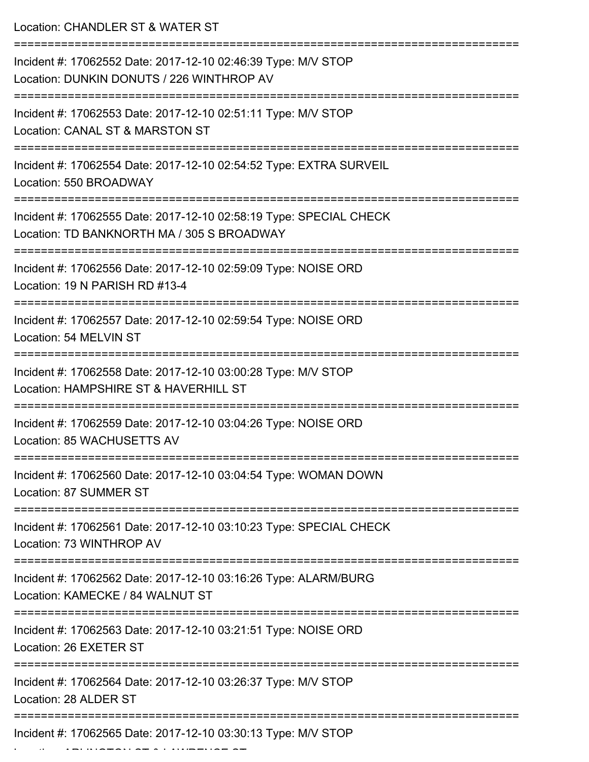| Location: CHANDLER ST & WATER ST                                                                                 |
|------------------------------------------------------------------------------------------------------------------|
| Incident #: 17062552 Date: 2017-12-10 02:46:39 Type: M/V STOP<br>Location: DUNKIN DONUTS / 226 WINTHROP AV       |
| Incident #: 17062553 Date: 2017-12-10 02:51:11 Type: M/V STOP<br>Location: CANAL ST & MARSTON ST                 |
| Incident #: 17062554 Date: 2017-12-10 02:54:52 Type: EXTRA SURVEIL<br>Location: 550 BROADWAY                     |
| Incident #: 17062555 Date: 2017-12-10 02:58:19 Type: SPECIAL CHECK<br>Location: TD BANKNORTH MA / 305 S BROADWAY |
| Incident #: 17062556 Date: 2017-12-10 02:59:09 Type: NOISE ORD<br>Location: 19 N PARISH RD #13-4                 |
| Incident #: 17062557 Date: 2017-12-10 02:59:54 Type: NOISE ORD<br>Location: 54 MELVIN ST                         |
| Incident #: 17062558 Date: 2017-12-10 03:00:28 Type: M/V STOP<br>Location: HAMPSHIRE ST & HAVERHILL ST           |
| Incident #: 17062559 Date: 2017-12-10 03:04:26 Type: NOISE ORD<br>Location: 85 WACHUSETTS AV                     |
| Incident #: 17062560 Date: 2017-12-10 03:04:54 Type: WOMAN DOWN<br>Location: 87 SUMMER ST                        |
| Incident #: 17062561 Date: 2017-12-10 03:10:23 Type: SPECIAL CHECK<br>Location: 73 WINTHROP AV                   |
| Incident #: 17062562 Date: 2017-12-10 03:16:26 Type: ALARM/BURG<br>Location: KAMECKE / 84 WALNUT ST              |
| Incident #: 17062563 Date: 2017-12-10 03:21:51 Type: NOISE ORD<br>Location: 26 EXETER ST                         |
| Incident #: 17062564 Date: 2017-12-10 03:26:37 Type: M/V STOP<br>Location: 28 ALDER ST                           |
| Incident #: 17062565 Date: 2017-12-10 03:30:13 Type: M/V STOP                                                    |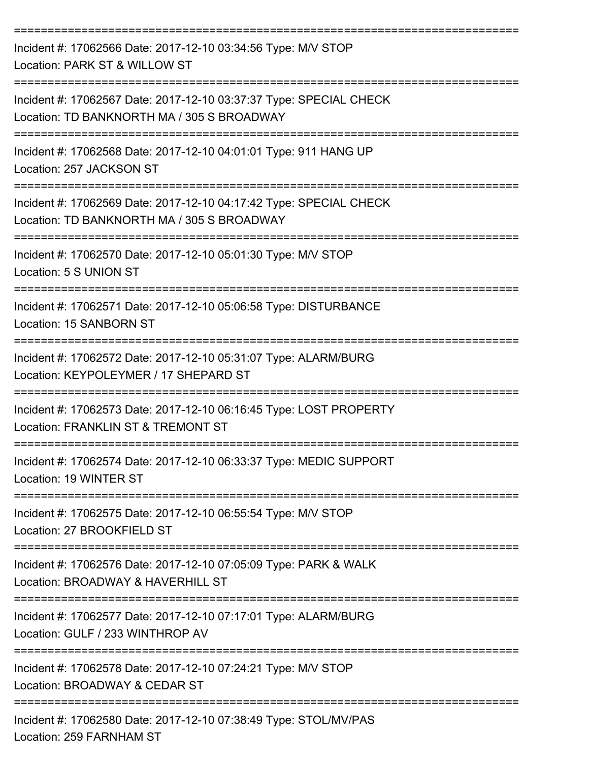| Incident #: 17062566 Date: 2017-12-10 03:34:56 Type: M/V STOP<br>Location: PARK ST & WILLOW ST                   |
|------------------------------------------------------------------------------------------------------------------|
| Incident #: 17062567 Date: 2017-12-10 03:37:37 Type: SPECIAL CHECK<br>Location: TD BANKNORTH MA / 305 S BROADWAY |
| Incident #: 17062568 Date: 2017-12-10 04:01:01 Type: 911 HANG UP<br>Location: 257 JACKSON ST                     |
| Incident #: 17062569 Date: 2017-12-10 04:17:42 Type: SPECIAL CHECK<br>Location: TD BANKNORTH MA / 305 S BROADWAY |
| Incident #: 17062570 Date: 2017-12-10 05:01:30 Type: M/V STOP<br>Location: 5 S UNION ST                          |
| Incident #: 17062571 Date: 2017-12-10 05:06:58 Type: DISTURBANCE<br>Location: 15 SANBORN ST                      |
| Incident #: 17062572 Date: 2017-12-10 05:31:07 Type: ALARM/BURG<br>Location: KEYPOLEYMER / 17 SHEPARD ST         |
| Incident #: 17062573 Date: 2017-12-10 06:16:45 Type: LOST PROPERTY<br>Location: FRANKLIN ST & TREMONT ST         |
| Incident #: 17062574 Date: 2017-12-10 06:33:37 Type: MEDIC SUPPORT<br>Location: 19 WINTER ST                     |
| Incident #: 17062575 Date: 2017-12-10 06:55:54 Type: M/V STOP<br>Location: 27 BROOKFIELD ST                      |
| Incident #: 17062576 Date: 2017-12-10 07:05:09 Type: PARK & WALK<br>Location: BROADWAY & HAVERHILL ST            |
| Incident #: 17062577 Date: 2017-12-10 07:17:01 Type: ALARM/BURG<br>Location: GULF / 233 WINTHROP AV              |
| Incident #: 17062578 Date: 2017-12-10 07:24:21 Type: M/V STOP<br>Location: BROADWAY & CEDAR ST                   |
| Incident #: 17062580 Date: 2017-12-10 07:38:49 Type: STOL/MV/PAS                                                 |

Location: 259 FARNHAM ST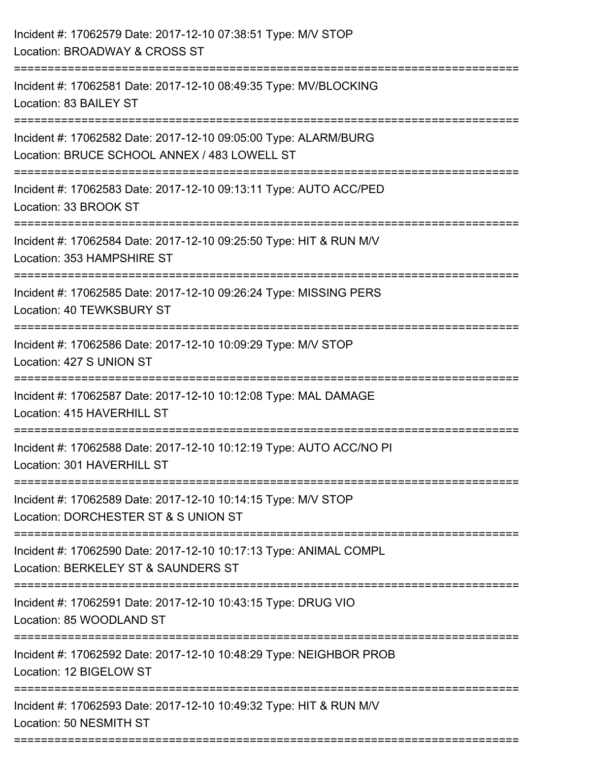| Incident #: 17062579 Date: 2017-12-10 07:38:51 Type: M/V STOP<br>Location: BROADWAY & CROSS ST                                                      |
|-----------------------------------------------------------------------------------------------------------------------------------------------------|
| Incident #: 17062581 Date: 2017-12-10 08:49:35 Type: MV/BLOCKING<br>Location: 83 BAILEY ST                                                          |
| Incident #: 17062582 Date: 2017-12-10 09:05:00 Type: ALARM/BURG<br>Location: BRUCE SCHOOL ANNEX / 483 LOWELL ST<br><u> :=======================</u> |
| Incident #: 17062583 Date: 2017-12-10 09:13:11 Type: AUTO ACC/PED<br>Location: 33 BROOK ST                                                          |
| Incident #: 17062584 Date: 2017-12-10 09:25:50 Type: HIT & RUN M/V<br>Location: 353 HAMPSHIRE ST                                                    |
| Incident #: 17062585 Date: 2017-12-10 09:26:24 Type: MISSING PERS<br>Location: 40 TEWKSBURY ST                                                      |
| Incident #: 17062586 Date: 2017-12-10 10:09:29 Type: M/V STOP<br>Location: 427 S UNION ST                                                           |
| Incident #: 17062587 Date: 2017-12-10 10:12:08 Type: MAL DAMAGE<br>Location: 415 HAVERHILL ST                                                       |
| Incident #: 17062588 Date: 2017-12-10 10:12:19 Type: AUTO ACC/NO PI<br>Location: 301 HAVERHILL ST                                                   |
| Incident #: 17062589 Date: 2017-12-10 10:14:15 Type: M/V STOP<br>Location: DORCHESTER ST & S UNION ST                                               |
| Incident #: 17062590 Date: 2017-12-10 10:17:13 Type: ANIMAL COMPL<br>Location: BERKELEY ST & SAUNDERS ST                                            |
| Incident #: 17062591 Date: 2017-12-10 10:43:15 Type: DRUG VIO<br>Location: 85 WOODLAND ST                                                           |
| Incident #: 17062592 Date: 2017-12-10 10:48:29 Type: NEIGHBOR PROB<br>Location: 12 BIGELOW ST                                                       |
| Incident #: 17062593 Date: 2017-12-10 10:49:32 Type: HIT & RUN M/V<br>Location: 50 NESMITH ST                                                       |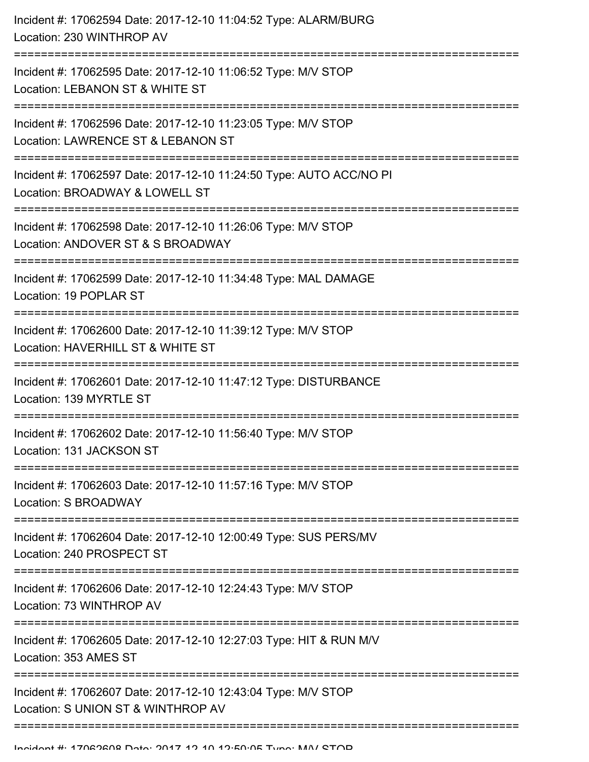| Incident #: 17062594 Date: 2017-12-10 11:04:52 Type: ALARM/BURG<br>Location: 230 WINTHROP AV          |
|-------------------------------------------------------------------------------------------------------|
| Incident #: 17062595 Date: 2017-12-10 11:06:52 Type: M/V STOP<br>Location: LEBANON ST & WHITE ST      |
| Incident #: 17062596 Date: 2017-12-10 11:23:05 Type: M/V STOP<br>Location: LAWRENCE ST & LEBANON ST   |
| Incident #: 17062597 Date: 2017-12-10 11:24:50 Type: AUTO ACC/NO PI<br>Location: BROADWAY & LOWELL ST |
| Incident #: 17062598 Date: 2017-12-10 11:26:06 Type: M/V STOP<br>Location: ANDOVER ST & S BROADWAY    |
| Incident #: 17062599 Date: 2017-12-10 11:34:48 Type: MAL DAMAGE<br>Location: 19 POPLAR ST             |
| Incident #: 17062600 Date: 2017-12-10 11:39:12 Type: M/V STOP<br>Location: HAVERHILL ST & WHITE ST    |
| Incident #: 17062601 Date: 2017-12-10 11:47:12 Type: DISTURBANCE<br>Location: 139 MYRTLE ST           |
| Incident #: 17062602 Date: 2017-12-10 11:56:40 Type: M/V STOP<br>Location: 131 JACKSON ST             |
| Incident #: 17062603 Date: 2017-12-10 11:57:16 Type: M/V STOP<br>Location: S BROADWAY                 |
| Incident #: 17062604 Date: 2017-12-10 12:00:49 Type: SUS PERS/MV<br>Location: 240 PROSPECT ST         |
| Incident #: 17062606 Date: 2017-12-10 12:24:43 Type: M/V STOP<br>Location: 73 WINTHROP AV             |
| Incident #: 17062605 Date: 2017-12-10 12:27:03 Type: HIT & RUN M/V<br>Location: 353 AMES ST           |
| Incident #: 17062607 Date: 2017-12-10 12:43:04 Type: M/V STOP<br>Location: S UNION ST & WINTHROP AV   |
|                                                                                                       |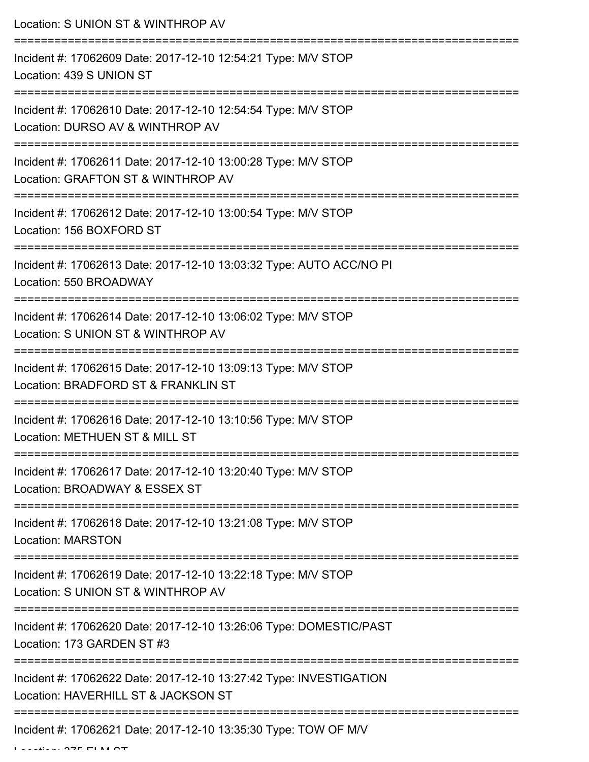Location: S UNION ST & WINTHROP AV =========================================================================== Incident #: 17062609 Date: 2017-12-10 12:54:21 Type: M/V STOP Location: 439 S UNION ST =========================================================================== Incident #: 17062610 Date: 2017-12-10 12:54:54 Type: M/V STOP Location: DURSO AV & WINTHROP AV =========================================================================== Incident #: 17062611 Date: 2017-12-10 13:00:28 Type: M/V STOP Location: GRAFTON ST & WINTHROP AV =========================================================================== Incident #: 17062612 Date: 2017-12-10 13:00:54 Type: M/V STOP Location: 156 BOXFORD ST =========================================================================== Incident #: 17062613 Date: 2017-12-10 13:03:32 Type: AUTO ACC/NO PI Location: 550 BROADWAY =========================================================================== Incident #: 17062614 Date: 2017-12-10 13:06:02 Type: M/V STOP Location: S UNION ST & WINTHROP AV =========================================================================== Incident #: 17062615 Date: 2017-12-10 13:09:13 Type: M/V STOP Location: BRADFORD ST & FRANKLIN ST =========================================================================== Incident #: 17062616 Date: 2017-12-10 13:10:56 Type: M/V STOP Location: METHUEN ST & MILL ST =========================================================================== Incident #: 17062617 Date: 2017-12-10 13:20:40 Type: M/V STOP Location: BROADWAY & ESSEX ST =========================================================================== Incident #: 17062618 Date: 2017-12-10 13:21:08 Type: M/V STOP Location: MARSTON =========================================================================== Incident #: 17062619 Date: 2017-12-10 13:22:18 Type: M/V STOP Location: S UNION ST & WINTHROP AV =========================================================================== Incident #: 17062620 Date: 2017-12-10 13:26:06 Type: DOMESTIC/PAST Location: 173 GARDEN ST #3 =========================================================================== Incident #: 17062622 Date: 2017-12-10 13:27:42 Type: INVESTIGATION Location: HAVERHILL ST & JACKSON ST =========================================================================== Incident #: 17062621 Date: 2017-12-10 13:35:30 Type: TOW OF M/V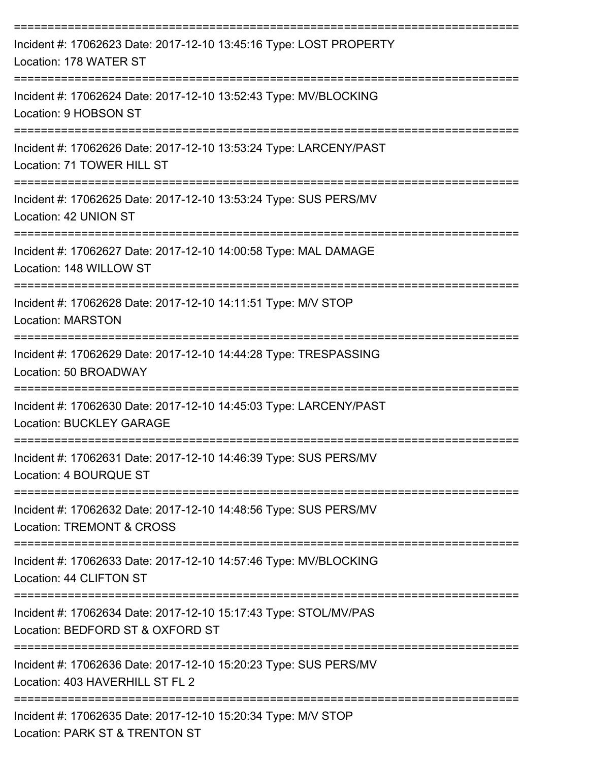| Incident #: 17062623 Date: 2017-12-10 13:45:16 Type: LOST PROPERTY<br>Location: 178 WATER ST             |
|----------------------------------------------------------------------------------------------------------|
| Incident #: 17062624 Date: 2017-12-10 13:52:43 Type: MV/BLOCKING<br>Location: 9 HOBSON ST                |
| Incident #: 17062626 Date: 2017-12-10 13:53:24 Type: LARCENY/PAST<br>Location: 71 TOWER HILL ST          |
| Incident #: 17062625 Date: 2017-12-10 13:53:24 Type: SUS PERS/MV<br>Location: 42 UNION ST                |
| Incident #: 17062627 Date: 2017-12-10 14:00:58 Type: MAL DAMAGE<br>Location: 148 WILLOW ST               |
| Incident #: 17062628 Date: 2017-12-10 14:11:51 Type: M/V STOP<br><b>Location: MARSTON</b>                |
| Incident #: 17062629 Date: 2017-12-10 14:44:28 Type: TRESPASSING<br>Location: 50 BROADWAY                |
| Incident #: 17062630 Date: 2017-12-10 14:45:03 Type: LARCENY/PAST<br><b>Location: BUCKLEY GARAGE</b>     |
| Incident #: 17062631 Date: 2017-12-10 14:46:39 Type: SUS PERS/MV<br>Location: 4 BOURQUE ST               |
| Incident #: 17062632 Date: 2017-12-10 14:48:56 Type: SUS PERS/MV<br><b>Location: TREMONT &amp; CROSS</b> |
| Incident #: 17062633 Date: 2017-12-10 14:57:46 Type: MV/BLOCKING<br>Location: 44 CLIFTON ST              |
| Incident #: 17062634 Date: 2017-12-10 15:17:43 Type: STOL/MV/PAS<br>Location: BEDFORD ST & OXFORD ST     |
| Incident #: 17062636 Date: 2017-12-10 15:20:23 Type: SUS PERS/MV<br>Location: 403 HAVERHILL ST FL 2      |
| Incident #: 17062635 Date: 2017-12-10 15:20:34 Type: M/V STOP<br>Location: PARK ST & TRENTON ST          |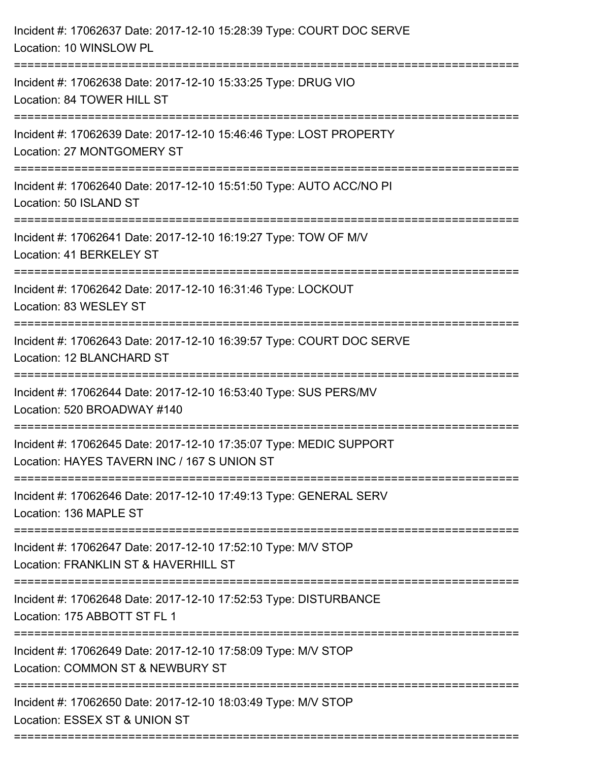| Incident #: 17062637 Date: 2017-12-10 15:28:39 Type: COURT DOC SERVE<br>Location: 10 WINSLOW PL                               |
|-------------------------------------------------------------------------------------------------------------------------------|
| Incident #: 17062638 Date: 2017-12-10 15:33:25 Type: DRUG VIO<br>Location: 84 TOWER HILL ST                                   |
| Incident #: 17062639 Date: 2017-12-10 15:46:46 Type: LOST PROPERTY<br>Location: 27 MONTGOMERY ST                              |
| Incident #: 17062640 Date: 2017-12-10 15:51:50 Type: AUTO ACC/NO PI<br>Location: 50 ISLAND ST<br>:=========================== |
| Incident #: 17062641 Date: 2017-12-10 16:19:27 Type: TOW OF M/V<br>Location: 41 BERKELEY ST                                   |
| Incident #: 17062642 Date: 2017-12-10 16:31:46 Type: LOCKOUT<br>Location: 83 WESLEY ST                                        |
| Incident #: 17062643 Date: 2017-12-10 16:39:57 Type: COURT DOC SERVE<br>Location: 12 BLANCHARD ST                             |
| Incident #: 17062644 Date: 2017-12-10 16:53:40 Type: SUS PERS/MV<br>Location: 520 BROADWAY #140                               |
| Incident #: 17062645 Date: 2017-12-10 17:35:07 Type: MEDIC SUPPORT<br>Location: HAYES TAVERN INC / 167 S UNION ST             |
| Incident #: 17062646 Date: 2017-12-10 17:49:13 Type: GENERAL SERV<br>Location: 136 MAPLE ST                                   |
| Incident #: 17062647 Date: 2017-12-10 17:52:10 Type: M/V STOP<br>Location: FRANKLIN ST & HAVERHILL ST                         |
| Incident #: 17062648 Date: 2017-12-10 17:52:53 Type: DISTURBANCE<br>Location: 175 ABBOTT ST FL 1                              |
| Incident #: 17062649 Date: 2017-12-10 17:58:09 Type: M/V STOP<br>Location: COMMON ST & NEWBURY ST                             |
| Incident #: 17062650 Date: 2017-12-10 18:03:49 Type: M/V STOP<br>Location: ESSEX ST & UNION ST                                |
|                                                                                                                               |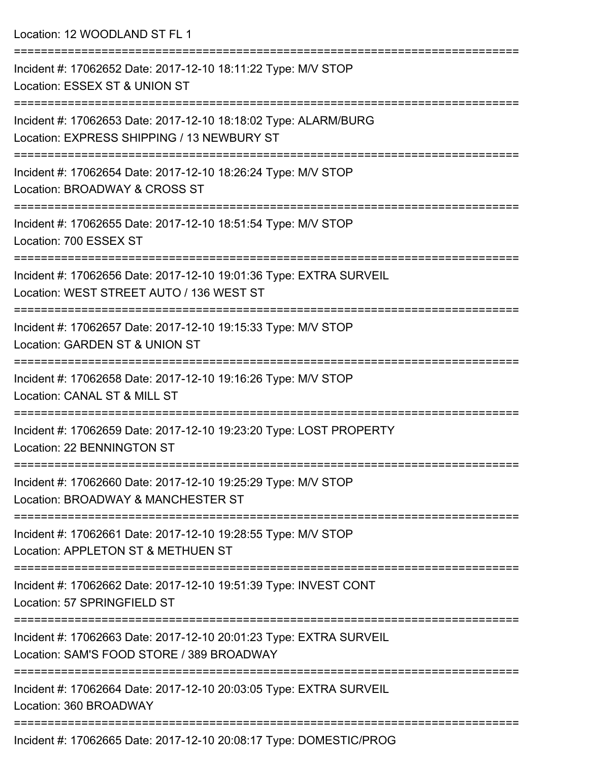Location: 12 WOODLAND ST FL 1 =========================================================================== Incident #: 17062652 Date: 2017-12-10 18:11:22 Type: M/V STOP Location: ESSEX ST & UNION ST =========================================================================== Incident #: 17062653 Date: 2017-12-10 18:18:02 Type: ALARM/BURG Location: EXPRESS SHIPPING / 13 NEWBURY ST =========================================================================== Incident #: 17062654 Date: 2017-12-10 18:26:24 Type: M/V STOP Location: BROADWAY & CROSS ST =========================================================================== Incident #: 17062655 Date: 2017-12-10 18:51:54 Type: M/V STOP Location: 700 ESSEX ST =========================================================================== Incident #: 17062656 Date: 2017-12-10 19:01:36 Type: EXTRA SURVEIL Location: WEST STREET AUTO / 136 WEST ST =========================================================================== Incident #: 17062657 Date: 2017-12-10 19:15:33 Type: M/V STOP Location: GARDEN ST & UNION ST =========================================================================== Incident #: 17062658 Date: 2017-12-10 19:16:26 Type: M/V STOP Location: CANAL ST & MILL ST =========================================================================== Incident #: 17062659 Date: 2017-12-10 19:23:20 Type: LOST PROPERTY Location: 22 BENNINGTON ST =========================================================================== Incident #: 17062660 Date: 2017-12-10 19:25:29 Type: M/V STOP Location: BROADWAY & MANCHESTER ST =========================================================================== Incident #: 17062661 Date: 2017-12-10 19:28:55 Type: M/V STOP Location: APPLETON ST & METHUEN ST =========================================================================== Incident #: 17062662 Date: 2017-12-10 19:51:39 Type: INVEST CONT Location: 57 SPRINGFIELD ST =========================================================================== Incident #: 17062663 Date: 2017-12-10 20:01:23 Type: EXTRA SURVEIL Location: SAM'S FOOD STORE / 389 BROADWAY =========================================================================== Incident #: 17062664 Date: 2017-12-10 20:03:05 Type: EXTRA SURVEIL Location: 360 BROADWAY ===========================================================================

Incident #: 17062665 Date: 2017-12-10 20:08:17 Type: DOMESTIC/PROG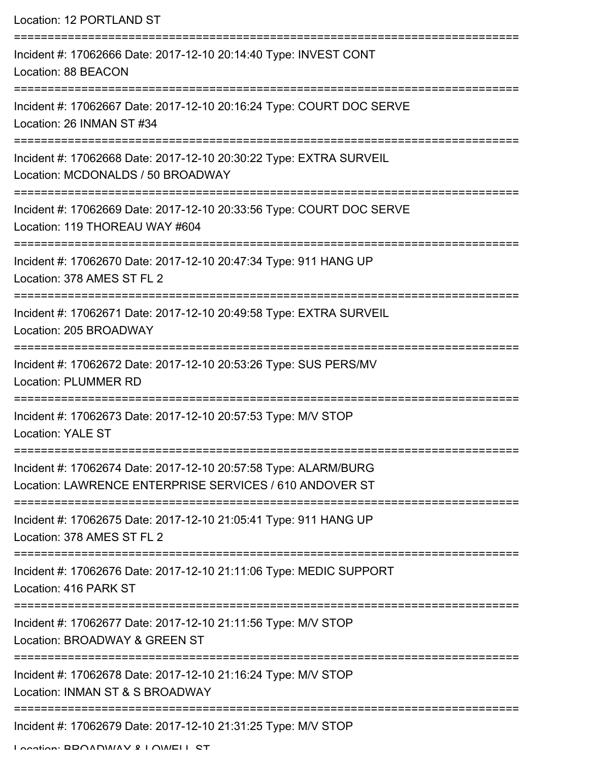Location: 12 PORTLAND ST =========================================================================== Incident #: 17062666 Date: 2017-12-10 20:14:40 Type: INVEST CONT Location: 88 BEACON =========================================================================== Incident #: 17062667 Date: 2017-12-10 20:16:24 Type: COURT DOC SERVE Location: 26 INMAN ST #34 =========================================================================== Incident #: 17062668 Date: 2017-12-10 20:30:22 Type: EXTRA SURVEIL Location: MCDONALDS / 50 BROADWAY =========================================================================== Incident #: 17062669 Date: 2017-12-10 20:33:56 Type: COURT DOC SERVE Location: 119 THOREAU WAY #604 =========================================================================== Incident #: 17062670 Date: 2017-12-10 20:47:34 Type: 911 HANG UP Location: 378 AMES ST FL 2 =========================================================================== Incident #: 17062671 Date: 2017-12-10 20:49:58 Type: EXTRA SURVEIL Location: 205 BROADWAY =========================================================================== Incident #: 17062672 Date: 2017-12-10 20:53:26 Type: SUS PERS/MV Location: PLUMMER RD =========================================================================== Incident #: 17062673 Date: 2017-12-10 20:57:53 Type: M/V STOP Location: YALE ST =========================================================================== Incident #: 17062674 Date: 2017-12-10 20:57:58 Type: ALARM/BURG Location: LAWRENCE ENTERPRISE SERVICES / 610 ANDOVER ST =========================================================================== Incident #: 17062675 Date: 2017-12-10 21:05:41 Type: 911 HANG UP Location: 378 AMES ST FL 2 =========================================================================== Incident #: 17062676 Date: 2017-12-10 21:11:06 Type: MEDIC SUPPORT Location: 416 PARK ST =========================================================================== Incident #: 17062677 Date: 2017-12-10 21:11:56 Type: M/V STOP Location: BROADWAY & GREEN ST =========================================================================== Incident #: 17062678 Date: 2017-12-10 21:16:24 Type: M/V STOP Location: INMAN ST & S BROADWAY =========================================================================== Incident #: 17062679 Date: 2017-12-10 21:31:25 Type: M/V STOP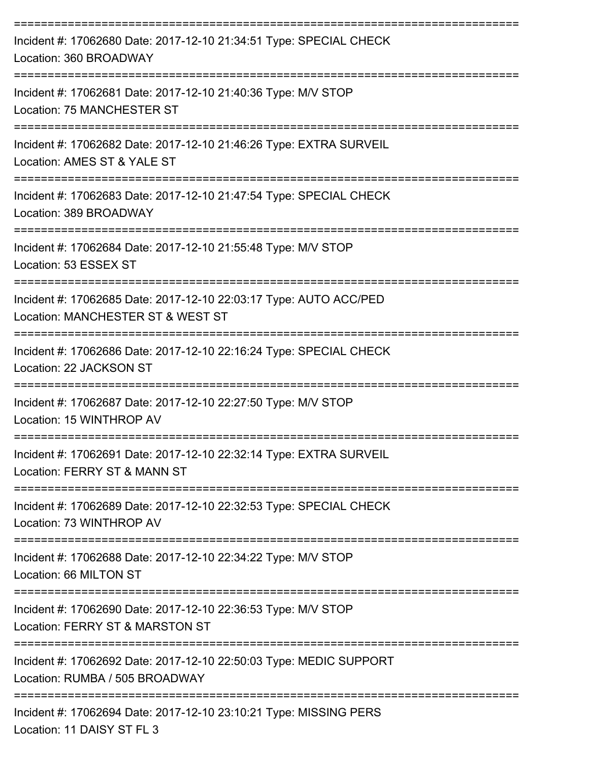| Incident #: 17062680 Date: 2017-12-10 21:34:51 Type: SPECIAL CHECK<br>Location: 360 BROADWAY           |
|--------------------------------------------------------------------------------------------------------|
| Incident #: 17062681 Date: 2017-12-10 21:40:36 Type: M/V STOP<br>Location: 75 MANCHESTER ST            |
| Incident #: 17062682 Date: 2017-12-10 21:46:26 Type: EXTRA SURVEIL<br>Location: AMES ST & YALE ST      |
| Incident #: 17062683 Date: 2017-12-10 21:47:54 Type: SPECIAL CHECK<br>Location: 389 BROADWAY           |
| Incident #: 17062684 Date: 2017-12-10 21:55:48 Type: M/V STOP<br>Location: 53 ESSEX ST                 |
| Incident #: 17062685 Date: 2017-12-10 22:03:17 Type: AUTO ACC/PED<br>Location: MANCHESTER ST & WEST ST |
| Incident #: 17062686 Date: 2017-12-10 22:16:24 Type: SPECIAL CHECK<br>Location: 22 JACKSON ST          |
| Incident #: 17062687 Date: 2017-12-10 22:27:50 Type: M/V STOP<br>Location: 15 WINTHROP AV              |
| Incident #: 17062691 Date: 2017-12-10 22:32:14 Type: EXTRA SURVEIL<br>Location: FERRY ST & MANN ST     |
| Incident #: 17062689 Date: 2017-12-10 22:32:53 Type: SPECIAL CHECK<br>Location: 73 WINTHROP AV         |
| Incident #: 17062688 Date: 2017-12-10 22:34:22 Type: M/V STOP<br>Location: 66 MILTON ST                |
| Incident #: 17062690 Date: 2017-12-10 22:36:53 Type: M/V STOP<br>Location: FERRY ST & MARSTON ST       |
| Incident #: 17062692 Date: 2017-12-10 22:50:03 Type: MEDIC SUPPORT<br>Location: RUMBA / 505 BROADWAY   |
| Incident #: 17062694 Date: 2017-12-10 23:10:21 Type: MISSING PERS<br>Location: 11 DAISY ST FL 3        |